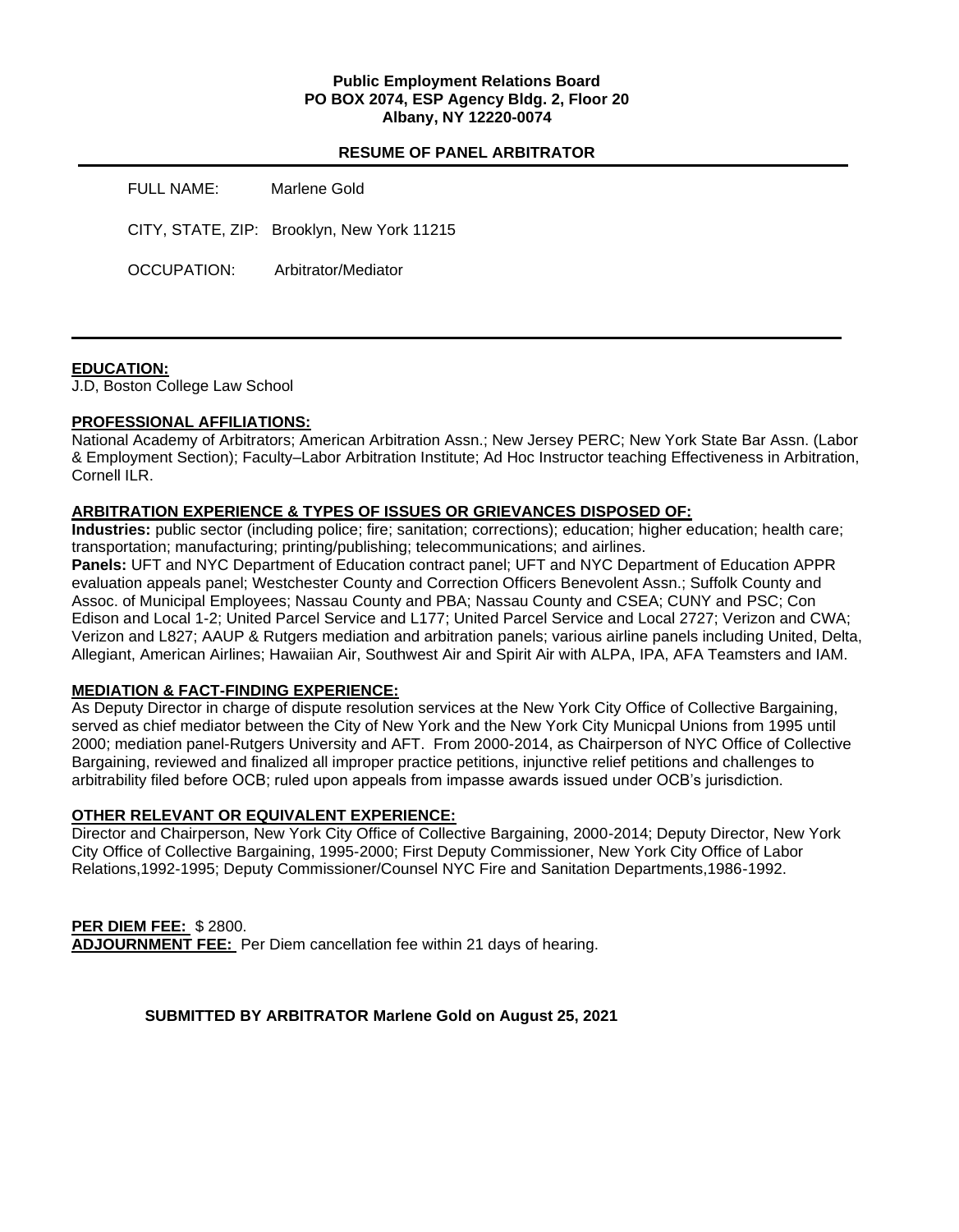### **Public Employment Relations Board PO BOX 2074, ESP Agency Bldg. 2, Floor 20 Albany, NY 12220-0074**

### **RESUME OF PANEL ARBITRATOR**

| <b>FULL NAME:</b> | Marlene Gold                               |
|-------------------|--------------------------------------------|
|                   | CITY, STATE, ZIP: Brooklyn, New York 11215 |
| OCCUPATION:       | Arbitrator/Mediator                        |

### **EDUCATION:**

J.D, Boston College Law School

#### **PROFESSIONAL AFFILIATIONS:**

National Academy of Arbitrators; American Arbitration Assn.; New Jersey PERC; New York State Bar Assn. (Labor & Employment Section); Faculty–Labor Arbitration Institute; Ad Hoc Instructor teaching Effectiveness in Arbitration, Cornell ILR.

#### **ARBITRATION EXPERIENCE & TYPES OF ISSUES OR GRIEVANCES DISPOSED OF:**

**Industries:** public sector (including police; fire; sanitation; corrections); education; higher education; health care; transportation; manufacturing; printing/publishing; telecommunications; and airlines.

**Panels:** UFT and NYC Department of Education contract panel; UFT and NYC Department of Education APPR evaluation appeals panel; Westchester County and Correction Officers Benevolent Assn.; Suffolk County and Assoc. of Municipal Employees; Nassau County and PBA; Nassau County and CSEA; CUNY and PSC; Con Edison and Local 1-2; United Parcel Service and L177; United Parcel Service and Local 2727; Verizon and CWA; Verizon and L827; AAUP & Rutgers mediation and arbitration panels; various airline panels including United, Delta, Allegiant, American Airlines; Hawaiian Air, Southwest Air and Spirit Air with ALPA, IPA, AFA Teamsters and IAM.

### **MEDIATION & FACT-FINDING EXPERIENCE:**

As Deputy Director in charge of dispute resolution services at the New York City Office of Collective Bargaining, served as chief mediator between the City of New York and the New York City Municpal Unions from 1995 until 2000; mediation panel-Rutgers University and AFT. From 2000-2014, as Chairperson of NYC Office of Collective Bargaining, reviewed and finalized all improper practice petitions, injunctive relief petitions and challenges to arbitrability filed before OCB; ruled upon appeals from impasse awards issued under OCB's jurisdiction.

# **OTHER RELEVANT OR EQUIVALENT EXPERIENCE:**

Director and Chairperson, New York City Office of Collective Bargaining, 2000-2014; Deputy Director, New York City Office of Collective Bargaining, 1995-2000; First Deputy Commissioner, New York City Office of Labor Relations,1992-1995; Deputy Commissioner/Counsel NYC Fire and Sanitation Departments,1986-1992.

### **PER DIEM FEE:** \$ 2800. **ADJOURNMENT FEE:** Per Diem cancellation fee within 21 days of hearing.

### **SUBMITTED BY ARBITRATOR Marlene Gold on August 25, 2021**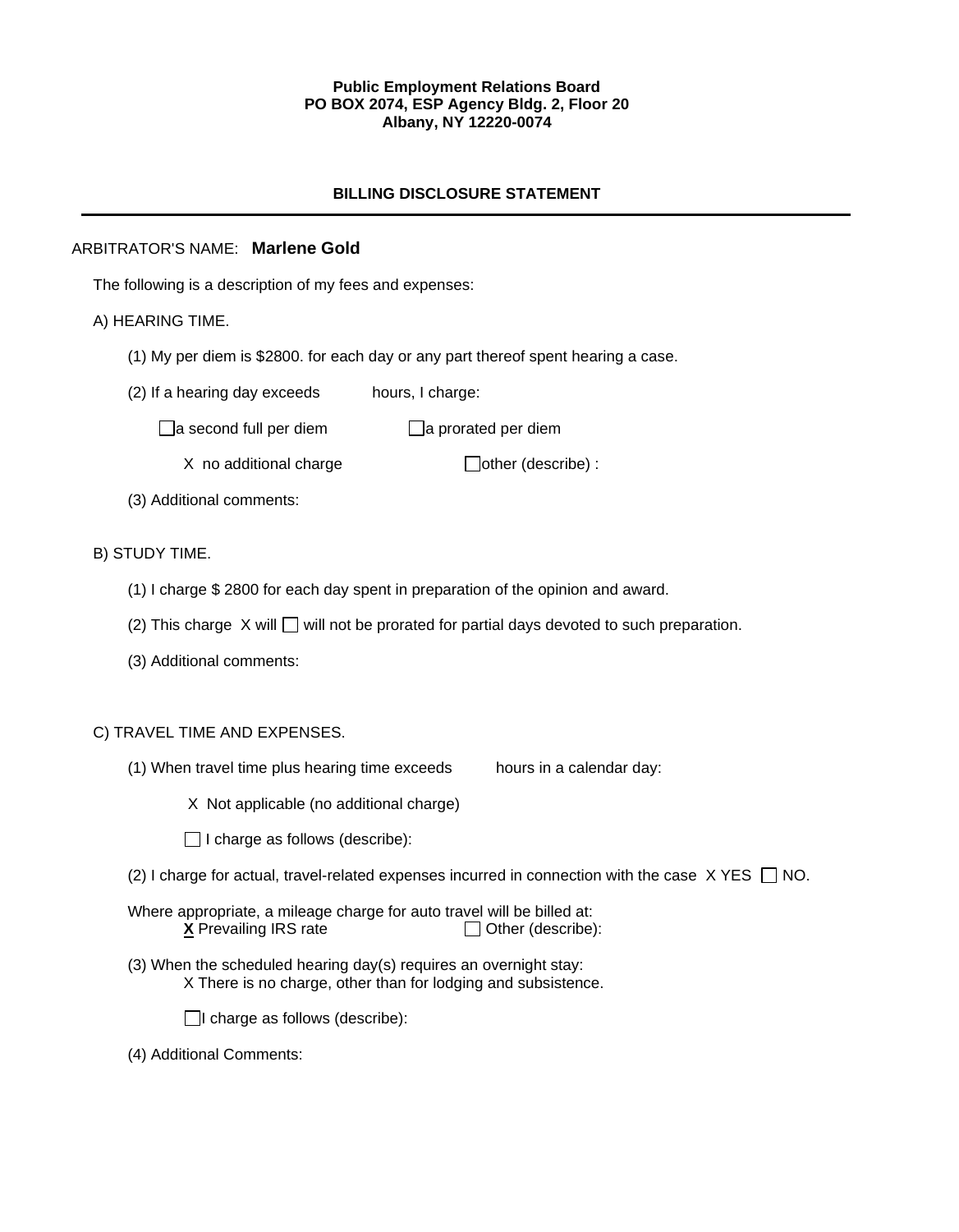### **Public Employment Relations Board PO BOX 2074, ESP Agency Bldg. 2, Floor 20 Albany, NY 12220-0074**

## **BILLING DISCLOSURE STATEMENT**

## ARBITRATOR'S NAME: **Marlene Gold**

The following is a description of my fees and expenses:

## A) HEARING TIME.

- (1) My per diem is \$2800. for each day or any part thereof spent hearing a case.
- (2) If a hearing day exceeds hours, I charge:
	- $\Box$ a second full per diem  $\Box$ a prorated per diem
		- $X$  no additional charge  $\Box$  other (describe) :
- (3) Additional comments:

## B) STUDY TIME.

- (1) I charge \$ 2800 for each day spent in preparation of the opinion and award.
- (2) This charge  $X$  will  $\Box$  will not be prorated for partial days devoted to such preparation.
- (3) Additional comments:

# C) TRAVEL TIME AND EXPENSES.

- (1) When travel time plus hearing time exceeds hours in a calendar day:
	- X Not applicable (no additional charge)
	- $\Box$  I charge as follows (describe):
- (2) I charge for actual, travel-related expenses incurred in connection with the case  $X$  YES  $\Box$  NO.
- Where appropriate, a mileage charge for auto travel will be billed at:  $X$  Prevailing IRS rate  $\Box$  Other (describe):
- (3) When the scheduled hearing day(s) requires an overnight stay: X There is no charge, other than for lodging and subsistence.

 $\Box$ I charge as follows (describe):

(4) Additional Comments: